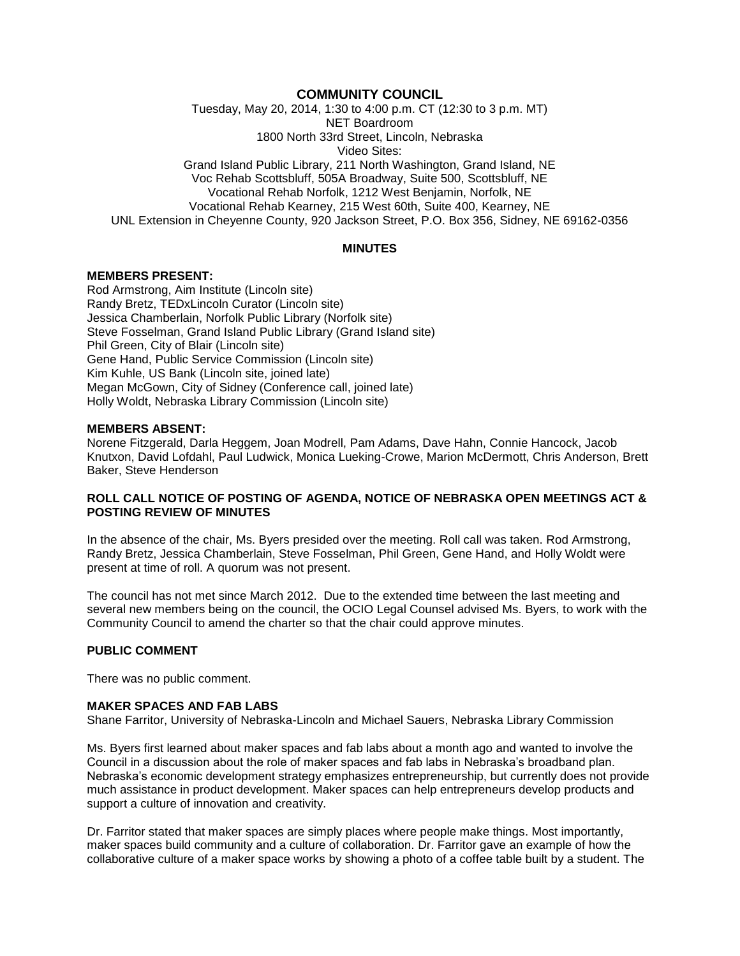### **COMMUNITY COUNCIL**

Tuesday, May 20, 2014, 1:30 to 4:00 p.m. CT (12:30 to 3 p.m. MT) NET Boardroom 1800 North 33rd Street, Lincoln, Nebraska Video Sites: Grand Island Public Library, 211 North Washington, Grand Island, NE Voc Rehab Scottsbluff, 505A Broadway, Suite 500, Scottsbluff, NE Vocational Rehab Norfolk, 1212 West Benjamin, Norfolk, NE

Vocational Rehab Kearney, 215 West 60th, Suite 400, Kearney, NE UNL Extension in Cheyenne County, 920 Jackson Street, P.O. Box 356, Sidney, NE 69162-0356

#### **MINUTES**

#### **MEMBERS PRESENT:**

Rod Armstrong, Aim Institute (Lincoln site) Randy Bretz, TEDxLincoln Curator (Lincoln site) Jessica Chamberlain, Norfolk Public Library (Norfolk site) Steve Fosselman, Grand Island Public Library (Grand Island site) Phil Green, City of Blair (Lincoln site) Gene Hand, Public Service Commission (Lincoln site) Kim Kuhle, US Bank (Lincoln site, joined late) Megan McGown, City of Sidney (Conference call, joined late) Holly Woldt, Nebraska Library Commission (Lincoln site)

#### **MEMBERS ABSENT:**

Norene Fitzgerald, Darla Heggem, Joan Modrell, Pam Adams, Dave Hahn, Connie Hancock, Jacob Knutxon, David Lofdahl, Paul Ludwick, Monica Lueking-Crowe, Marion McDermott, Chris Anderson, Brett Baker, Steve Henderson

#### **ROLL CALL NOTICE OF POSTING OF AGENDA, NOTICE OF NEBRASKA OPEN MEETINGS ACT & POSTING REVIEW OF MINUTES**

In the absence of the chair, Ms. Byers presided over the meeting. Roll call was taken. Rod Armstrong, Randy Bretz, Jessica Chamberlain, Steve Fosselman, Phil Green, Gene Hand, and Holly Woldt were present at time of roll. A quorum was not present.

The council has not met since March 2012. Due to the extended time between the last meeting and several new members being on the council, the OCIO Legal Counsel advised Ms. Byers, to work with the Community Council to amend the charter so that the chair could approve minutes.

#### **PUBLIC COMMENT**

There was no public comment.

#### **MAKER SPACES AND FAB LABS**

Shane Farritor, University of Nebraska-Lincoln and Michael Sauers, Nebraska Library Commission

Ms. Byers first learned about maker spaces and fab labs about a month ago and wanted to involve the Council in a discussion about the role of maker spaces and fab labs in Nebraska's broadband plan. Nebraska's economic development strategy emphasizes entrepreneurship, but currently does not provide much assistance in product development. Maker spaces can help entrepreneurs develop products and support a culture of innovation and creativity.

Dr. Farritor stated that maker spaces are simply places where people make things. Most importantly, maker spaces build community and a culture of collaboration. Dr. Farritor gave an example of how the collaborative culture of a maker space works by showing a photo of a coffee table built by a student. The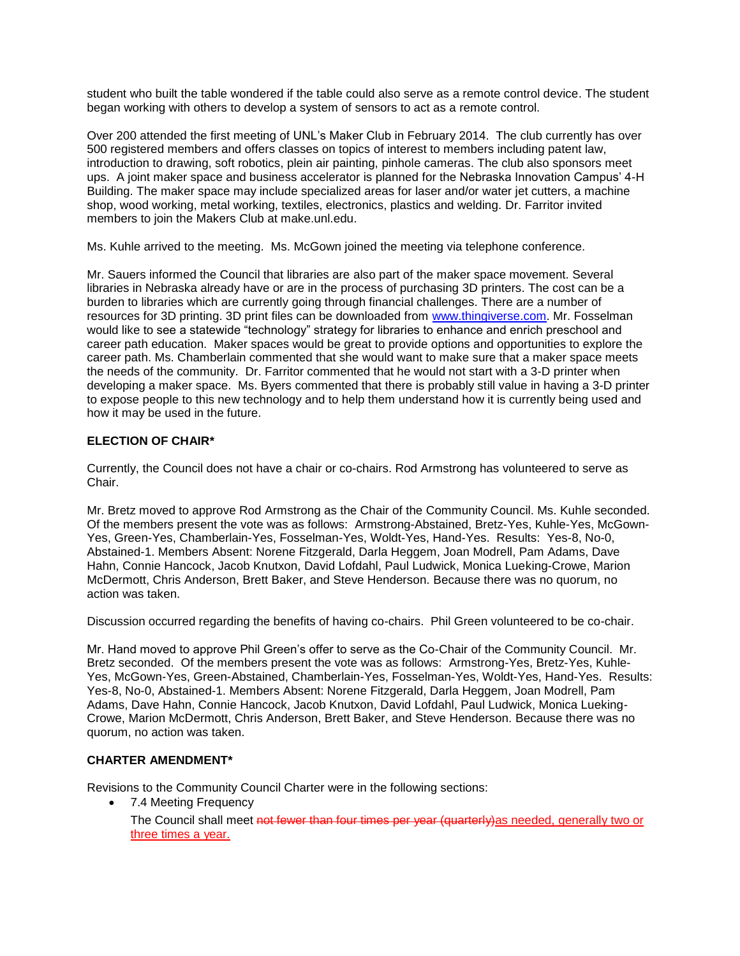student who built the table wondered if the table could also serve as a remote control device. The student began working with others to develop a system of sensors to act as a remote control.

Over 200 attended the first meeting of UNL's Maker Club in February 2014. The club currently has over 500 registered members and offers classes on topics of interest to members including patent law, introduction to drawing, soft robotics, plein air painting, pinhole cameras. The club also sponsors meet ups. A joint maker space and business accelerator is planned for the Nebraska Innovation Campus' 4-H Building. The maker space may include specialized areas for laser and/or water jet cutters, a machine shop, wood working, metal working, textiles, electronics, plastics and welding. Dr. Farritor invited members to join the Makers Club at make.unl.edu.

Ms. Kuhle arrived to the meeting. Ms. McGown joined the meeting via telephone conference.

Mr. Sauers informed the Council that libraries are also part of the maker space movement. Several libraries in Nebraska already have or are in the process of purchasing 3D printers. The cost can be a burden to libraries which are currently going through financial challenges. There are a number of resources for 3D printing. 3D print files can be downloaded from [www.thingiverse.com.](http://www.thingiverse.com/) Mr. Fosselman would like to see a statewide "technology" strategy for libraries to enhance and enrich preschool and career path education. Maker spaces would be great to provide options and opportunities to explore the career path. Ms. Chamberlain commented that she would want to make sure that a maker space meets the needs of the community. Dr. Farritor commented that he would not start with a 3-D printer when developing a maker space. Ms. Byers commented that there is probably still value in having a 3-D printer to expose people to this new technology and to help them understand how it is currently being used and how it may be used in the future.

# **ELECTION OF CHAIR\***

Currently, the Council does not have a chair or co-chairs. Rod Armstrong has volunteered to serve as Chair.

Mr. Bretz moved to approve Rod Armstrong as the Chair of the Community Council. Ms. Kuhle seconded. Of the members present the vote was as follows: Armstrong-Abstained, Bretz-Yes, Kuhle-Yes, McGown-Yes, Green-Yes, Chamberlain-Yes, Fosselman-Yes, Woldt-Yes, Hand-Yes. Results: Yes-8, No-0, Abstained-1. Members Absent: Norene Fitzgerald, Darla Heggem, Joan Modrell, Pam Adams, Dave Hahn, Connie Hancock, Jacob Knutxon, David Lofdahl, Paul Ludwick, Monica Lueking-Crowe, Marion McDermott, Chris Anderson, Brett Baker, and Steve Henderson. Because there was no quorum, no action was taken.

Discussion occurred regarding the benefits of having co-chairs. Phil Green volunteered to be co-chair.

Mr. Hand moved to approve Phil Green's offer to serve as the Co-Chair of the Community Council. Mr. Bretz seconded. Of the members present the vote was as follows: Armstrong-Yes, Bretz-Yes, Kuhle-Yes, McGown-Yes, Green-Abstained, Chamberlain-Yes, Fosselman-Yes, Woldt-Yes, Hand-Yes. Results: Yes-8, No-0, Abstained-1. Members Absent: Norene Fitzgerald, Darla Heggem, Joan Modrell, Pam Adams, Dave Hahn, Connie Hancock, Jacob Knutxon, David Lofdahl, Paul Ludwick, Monica Lueking-Crowe, Marion McDermott, Chris Anderson, Brett Baker, and Steve Henderson. Because there was no quorum, no action was taken.

# **CHARTER AMENDMENT\***

Revisions to the Community Council Charter were in the following sections:

- 7.4 Meeting Frequency
	- The Council shall meet not fewer than four times per year (quarterly) as needed, generally two or three times a year.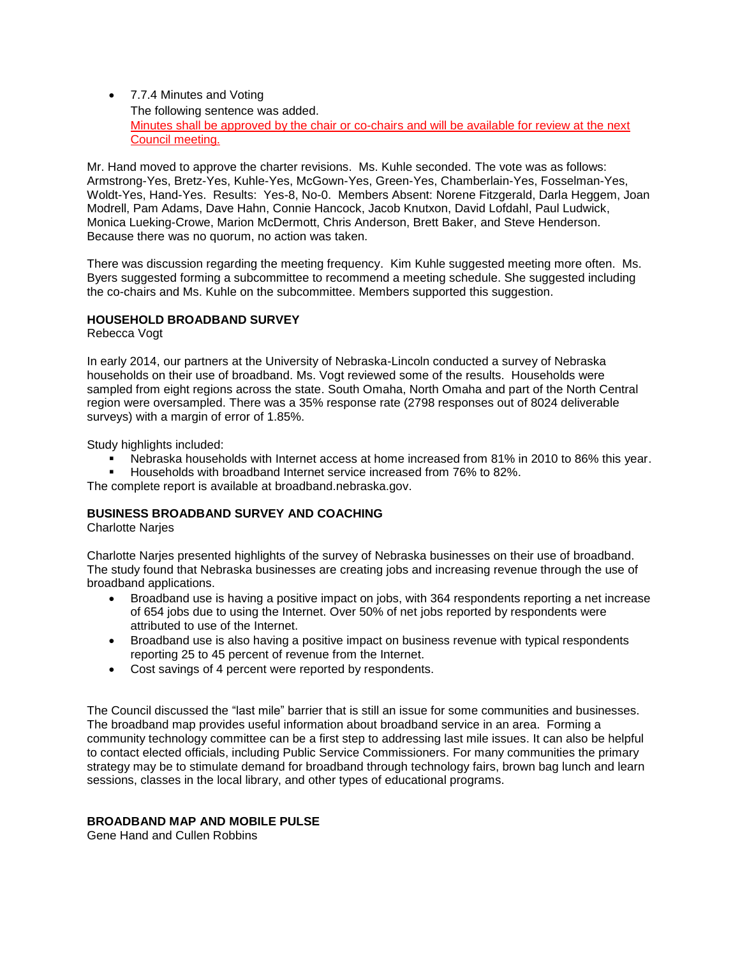• 7.7.4 Minutes and Voting The following sentence was added. Minutes shall be approved by the chair or co-chairs and will be available for review at the next Council meeting.

Mr. Hand moved to approve the charter revisions. Ms. Kuhle seconded. The vote was as follows: Armstrong-Yes, Bretz-Yes, Kuhle-Yes, McGown-Yes, Green-Yes, Chamberlain-Yes, Fosselman-Yes, Woldt-Yes, Hand-Yes. Results: Yes-8, No-0. Members Absent: Norene Fitzgerald, Darla Heggem, Joan Modrell, Pam Adams, Dave Hahn, Connie Hancock, Jacob Knutxon, David Lofdahl, Paul Ludwick, Monica Lueking-Crowe, Marion McDermott, Chris Anderson, Brett Baker, and Steve Henderson. Because there was no quorum, no action was taken.

There was discussion regarding the meeting frequency. Kim Kuhle suggested meeting more often. Ms. Byers suggested forming a subcommittee to recommend a meeting schedule. She suggested including the co-chairs and Ms. Kuhle on the subcommittee. Members supported this suggestion.

### **HOUSEHOLD BROADBAND SURVEY**

Rebecca Vogt

In early 2014, our partners at the University of Nebraska-Lincoln conducted a survey of Nebraska households on their use of broadband. Ms. Vogt reviewed some of the results. Households were sampled from eight regions across the state. South Omaha, North Omaha and part of the North Central region were oversampled. There was a 35% response rate (2798 responses out of 8024 deliverable surveys) with a margin of error of 1.85%.

Study highlights included:

- Nebraska households with Internet access at home increased from 81% in 2010 to 86% this year.
- Households with broadband Internet service increased from 76% to 82%.

The complete report is available at broadband.nebraska.gov.

#### **BUSINESS BROADBAND SURVEY AND COACHING**

Charlotte Narjes

Charlotte Narjes presented highlights of the survey of Nebraska businesses on their use of broadband. The study found that Nebraska businesses are creating jobs and increasing revenue through the use of broadband applications.

- Broadband use is having a positive impact on jobs, with 364 respondents reporting a net increase of 654 jobs due to using the Internet. Over 50% of net jobs reported by respondents were attributed to use of the Internet.
- Broadband use is also having a positive impact on business revenue with typical respondents reporting 25 to 45 percent of revenue from the Internet.
- Cost savings of 4 percent were reported by respondents.

The Council discussed the "last mile" barrier that is still an issue for some communities and businesses. The broadband map provides useful information about broadband service in an area. Forming a community technology committee can be a first step to addressing last mile issues. It can also be helpful to contact elected officials, including Public Service Commissioners. For many communities the primary strategy may be to stimulate demand for broadband through technology fairs, brown bag lunch and learn sessions, classes in the local library, and other types of educational programs.

### **BROADBAND MAP AND MOBILE PULSE**

Gene Hand and Cullen Robbins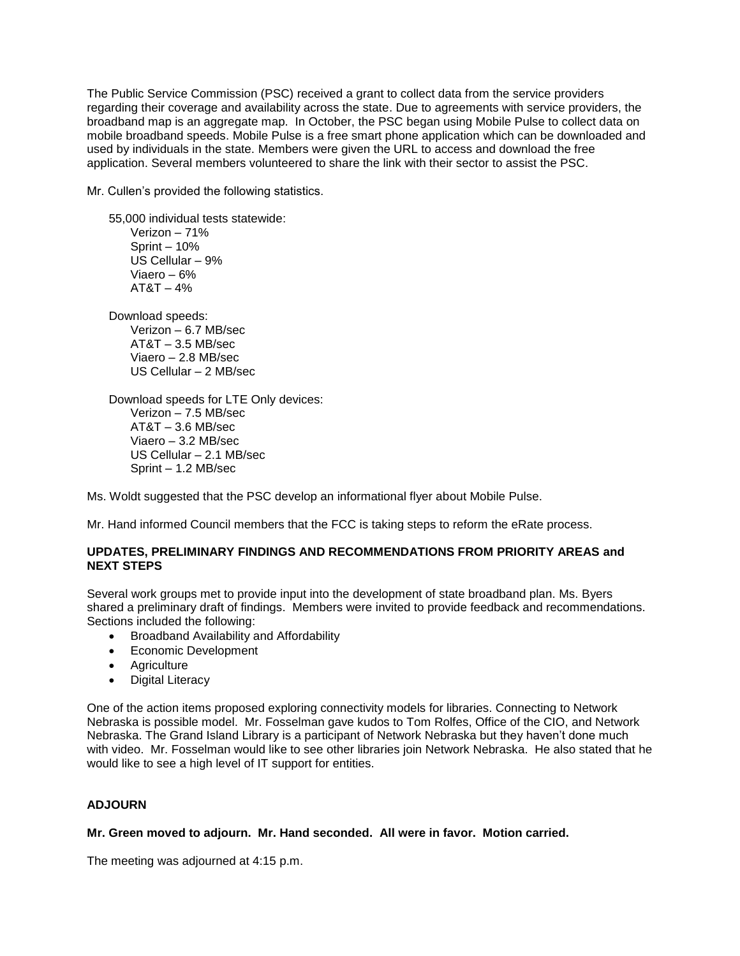The Public Service Commission (PSC) received a grant to collect data from the service providers regarding their coverage and availability across the state. Due to agreements with service providers, the broadband map is an aggregate map. In October, the PSC began using Mobile Pulse to collect data on mobile broadband speeds. Mobile Pulse is a free smart phone application which can be downloaded and used by individuals in the state. Members were given the URL to access and download the free application. Several members volunteered to share the link with their sector to assist the PSC.

Mr. Cullen's provided the following statistics.

55,000 individual tests statewide: Verizon – 71% Sprint – 10% US Cellular – 9% Viaero – 6%  $AT8T - 4%$ Download speeds: Verizon – 6.7 MB/sec AT&T – 3.5 MB/sec Viaero – 2.8 MB/sec US Cellular – 2 MB/sec

Download speeds for LTE Only devices: Verizon – 7.5 MB/sec AT&T – 3.6 MB/sec Viaero – 3.2 MB/sec US Cellular – 2.1 MB/sec Sprint – 1.2 MB/sec

Ms. Woldt suggested that the PSC develop an informational flyer about Mobile Pulse.

Mr. Hand informed Council members that the FCC is taking steps to reform the eRate process.

# **UPDATES, PRELIMINARY FINDINGS AND RECOMMENDATIONS FROM PRIORITY AREAS and NEXT STEPS**

Several work groups met to provide input into the development of state broadband plan. Ms. Byers shared a preliminary draft of findings. Members were invited to provide feedback and recommendations. Sections included the following:

- **•** Broadband Availability and Affordability
- **•** Economic Development
- Agriculture
- Digital Literacy

One of the action items proposed exploring connectivity models for libraries. Connecting to Network Nebraska is possible model. Mr. Fosselman gave kudos to Tom Rolfes, Office of the CIO, and Network Nebraska. The Grand Island Library is a participant of Network Nebraska but they haven't done much with video. Mr. Fosselman would like to see other libraries join Network Nebraska. He also stated that he would like to see a high level of IT support for entities.

# **ADJOURN**

# **Mr. Green moved to adjourn. Mr. Hand seconded. All were in favor. Motion carried.**

The meeting was adjourned at 4:15 p.m.